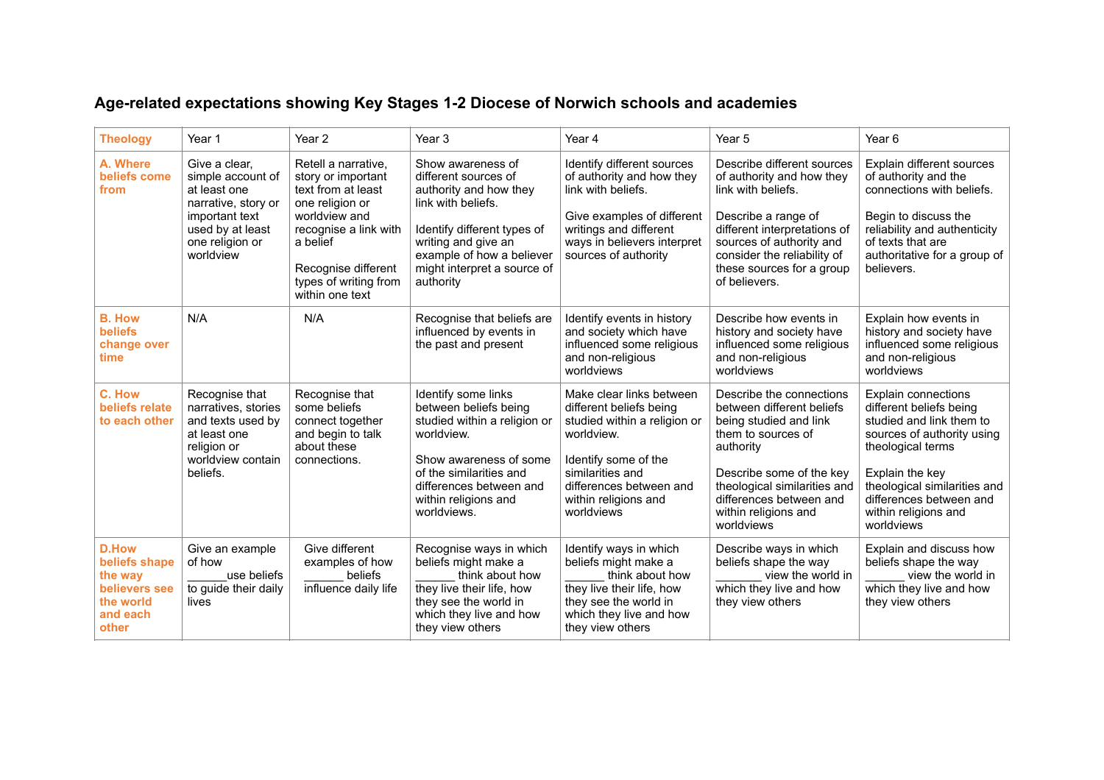## **Age-related expectations showing Key Stages 1-2 Diocese of Norwich schools and academies**

| <b>Theology</b>                                                                             | Year 1                                                                                                                                          | Year <sub>2</sub>                                                                                                                                                                                           | Year <sub>3</sub>                                                                                                                                                                                                        | Year 4                                                                                                                                                                                                         | Year 5                                                                                                                                                                                                                                          | Year <sub>6</sub>                                                                                                                                                                                                                                        |
|---------------------------------------------------------------------------------------------|-------------------------------------------------------------------------------------------------------------------------------------------------|-------------------------------------------------------------------------------------------------------------------------------------------------------------------------------------------------------------|--------------------------------------------------------------------------------------------------------------------------------------------------------------------------------------------------------------------------|----------------------------------------------------------------------------------------------------------------------------------------------------------------------------------------------------------------|-------------------------------------------------------------------------------------------------------------------------------------------------------------------------------------------------------------------------------------------------|----------------------------------------------------------------------------------------------------------------------------------------------------------------------------------------------------------------------------------------------------------|
| A. Where<br>beliefs come<br>from                                                            | Give a clear,<br>simple account of<br>at least one<br>narrative, story or<br>important text<br>used by at least<br>one religion or<br>worldview | Retell a narrative,<br>story or important<br>text from at least<br>one religion or<br>worldview and<br>recognise a link with<br>a belief<br>Recognise different<br>types of writing from<br>within one text | Show awareness of<br>different sources of<br>authority and how they<br>link with beliefs.<br>Identify different types of<br>writing and give an<br>example of how a believer<br>might interpret a source of<br>authority | Identify different sources<br>of authority and how they<br>link with beliefs.<br>Give examples of different<br>writings and different<br>ways in believers interpret<br>sources of authority                   | Describe different sources<br>of authority and how they<br>link with beliefs.<br>Describe a range of<br>different interpretations of<br>sources of authority and<br>consider the reliability of<br>these sources for a group<br>of believers.   | Explain different sources<br>of authority and the<br>connections with beliefs.<br>Begin to discuss the<br>reliability and authenticity<br>of texts that are<br>authoritative for a group of<br>believers.                                                |
| <b>B. How</b><br><b>beliefs</b><br>change over<br>time                                      | N/A                                                                                                                                             | N/A                                                                                                                                                                                                         | Recognise that beliefs are<br>influenced by events in<br>the past and present                                                                                                                                            | Identify events in history<br>and society which have<br>influenced some religious<br>and non-religious<br>worldviews                                                                                           | Describe how events in<br>history and society have<br>influenced some religious<br>and non-religious<br>worldviews                                                                                                                              | Explain how events in<br>history and society have<br>influenced some religious<br>and non-religious<br>worldviews                                                                                                                                        |
| C. How<br>beliefs relate<br>to each other                                                   | Recognise that<br>narratives, stories<br>and texts used by<br>at least one<br>religion or<br>worldview contain<br>beliefs.                      | Recognise that<br>some beliefs<br>connect together<br>and begin to talk<br>about these<br>connections.                                                                                                      | Identify some links<br>between beliefs being<br>studied within a religion or<br>worldview.<br>Show awareness of some<br>of the similarities and<br>differences between and<br>within religions and<br>worldviews.        | Make clear links between<br>different beliefs being<br>studied within a religion or<br>worldview.<br>Identify some of the<br>similarities and<br>differences between and<br>within religions and<br>worldviews | Describe the connections<br>between different beliefs<br>being studied and link<br>them to sources of<br>authority<br>Describe some of the key<br>theological similarities and<br>differences between and<br>within religions and<br>worldviews | <b>Explain connections</b><br>different beliefs being<br>studied and link them to<br>sources of authority using<br>theological terms<br>Explain the key<br>theological similarities and<br>differences between and<br>within religions and<br>worldviews |
| <b>D.How</b><br>beliefs shape<br>the way<br>believers see<br>the world<br>and each<br>other | Give an example<br>of how<br>use beliefs<br>to guide their daily<br>lives                                                                       | Give different<br>examples of how<br>beliefs<br>influence daily life                                                                                                                                        | Recognise ways in which<br>beliefs might make a<br>think about how<br>they live their life, how<br>they see the world in<br>which they live and how<br>they view others                                                  | Identify ways in which<br>beliefs might make a<br>think about how<br>they live their life, how<br>they see the world in<br>which they live and how<br>they view others                                         | Describe ways in which<br>beliefs shape the way<br>view the world in<br>which they live and how<br>they view others                                                                                                                             | Explain and discuss how<br>beliefs shape the way<br>view the world in<br>which they live and how<br>they view others                                                                                                                                     |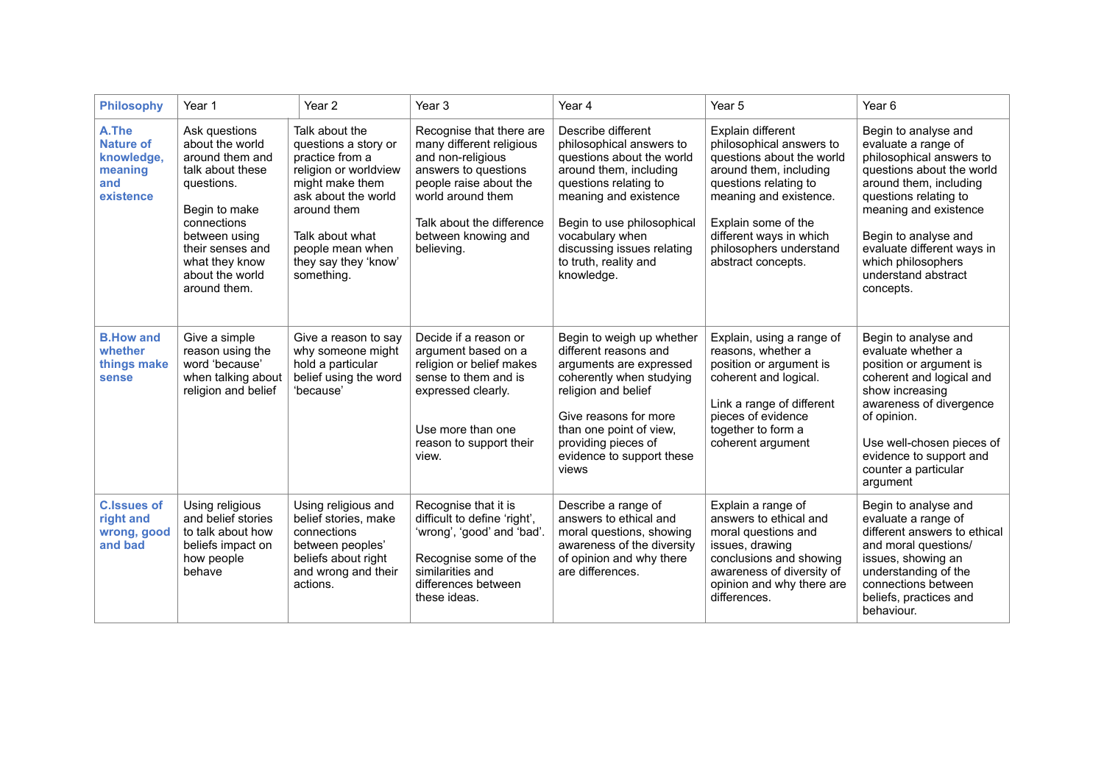| <b>Philosophy</b>                                                      | Year 1                                                                                                                                                                                                          | Year 2                                                                                                                                                                                                                   | Year <sub>3</sub>                                                                                                                                                                                                  | Year 4                                                                                                                                                                                                                                                                        | Year 5                                                                                                                                                                                                                                                     | Year <sub>6</sub>                                                                                                                                                                                                                                                                                |
|------------------------------------------------------------------------|-----------------------------------------------------------------------------------------------------------------------------------------------------------------------------------------------------------------|--------------------------------------------------------------------------------------------------------------------------------------------------------------------------------------------------------------------------|--------------------------------------------------------------------------------------------------------------------------------------------------------------------------------------------------------------------|-------------------------------------------------------------------------------------------------------------------------------------------------------------------------------------------------------------------------------------------------------------------------------|------------------------------------------------------------------------------------------------------------------------------------------------------------------------------------------------------------------------------------------------------------|--------------------------------------------------------------------------------------------------------------------------------------------------------------------------------------------------------------------------------------------------------------------------------------------------|
| A.The<br><b>Nature of</b><br>knowledge,<br>meaning<br>and<br>existence | Ask questions<br>about the world<br>around them and<br>talk about these<br>questions.<br>Begin to make<br>connections<br>between using<br>their senses and<br>what they know<br>about the world<br>around them. | Talk about the<br>questions a story or<br>practice from a<br>religion or worldview<br>might make them<br>ask about the world<br>around them<br>Talk about what<br>people mean when<br>they say they 'know'<br>something. | Recognise that there are<br>many different religious<br>and non-religious<br>answers to questions<br>people raise about the<br>world around them<br>Talk about the difference<br>between knowing and<br>believing. | Describe different<br>philosophical answers to<br>questions about the world<br>around them, including<br>questions relating to<br>meaning and existence<br>Begin to use philosophical<br>vocabulary when<br>discussing issues relating<br>to truth, reality and<br>knowledge. | Explain different<br>philosophical answers to<br>questions about the world<br>around them, including<br>questions relating to<br>meaning and existence.<br>Explain some of the<br>different ways in which<br>philosophers understand<br>abstract concepts. | Begin to analyse and<br>evaluate a range of<br>philosophical answers to<br>questions about the world<br>around them, including<br>questions relating to<br>meaning and existence<br>Begin to analyse and<br>evaluate different ways in<br>which philosophers<br>understand abstract<br>concepts. |
| <b>B.How and</b><br>whether<br>things make<br><b>sense</b>             | Give a simple<br>reason using the<br>word 'because'<br>when talking about<br>religion and belief                                                                                                                | Give a reason to say<br>why someone might<br>hold a particular<br>belief using the word<br>'because'                                                                                                                     | Decide if a reason or<br>argument based on a<br>religion or belief makes<br>sense to them and is<br>expressed clearly.<br>Use more than one<br>reason to support their<br>view.                                    | Begin to weigh up whether<br>different reasons and<br>arguments are expressed<br>coherently when studying<br>religion and belief<br>Give reasons for more<br>than one point of view,<br>providing pieces of<br>evidence to support these<br>views                             | Explain, using a range of<br>reasons, whether a<br>position or argument is<br>coherent and logical.<br>Link a range of different<br>pieces of evidence<br>together to form a<br>coherent argument                                                          | Begin to analyse and<br>evaluate whether a<br>position or argument is<br>coherent and logical and<br>show increasing<br>awareness of divergence<br>of opinion.<br>Use well-chosen pieces of<br>evidence to support and<br>counter a particular<br>argument                                       |
| <b>C.Issues of</b><br>right and<br>wrong, good<br>and bad              | Using religious<br>and belief stories<br>to talk about how<br>beliefs impact on<br>how people<br>behave                                                                                                         | Using religious and<br>belief stories, make<br>connections<br>between peoples'<br>beliefs about right<br>and wrong and their<br>actions.                                                                                 | Recognise that it is<br>difficult to define 'right',<br>'wrong', 'good' and 'bad'.<br>Recognise some of the<br>similarities and<br>differences between<br>these ideas.                                             | Describe a range of<br>answers to ethical and<br>moral questions, showing<br>awareness of the diversity<br>of opinion and why there<br>are differences.                                                                                                                       | Explain a range of<br>answers to ethical and<br>moral questions and<br>issues, drawing<br>conclusions and showing<br>awareness of diversity of<br>opinion and why there are<br>differences.                                                                | Begin to analyse and<br>evaluate a range of<br>different answers to ethical<br>and moral questions/<br>issues, showing an<br>understanding of the<br>connections between<br>beliefs, practices and<br>behaviour.                                                                                 |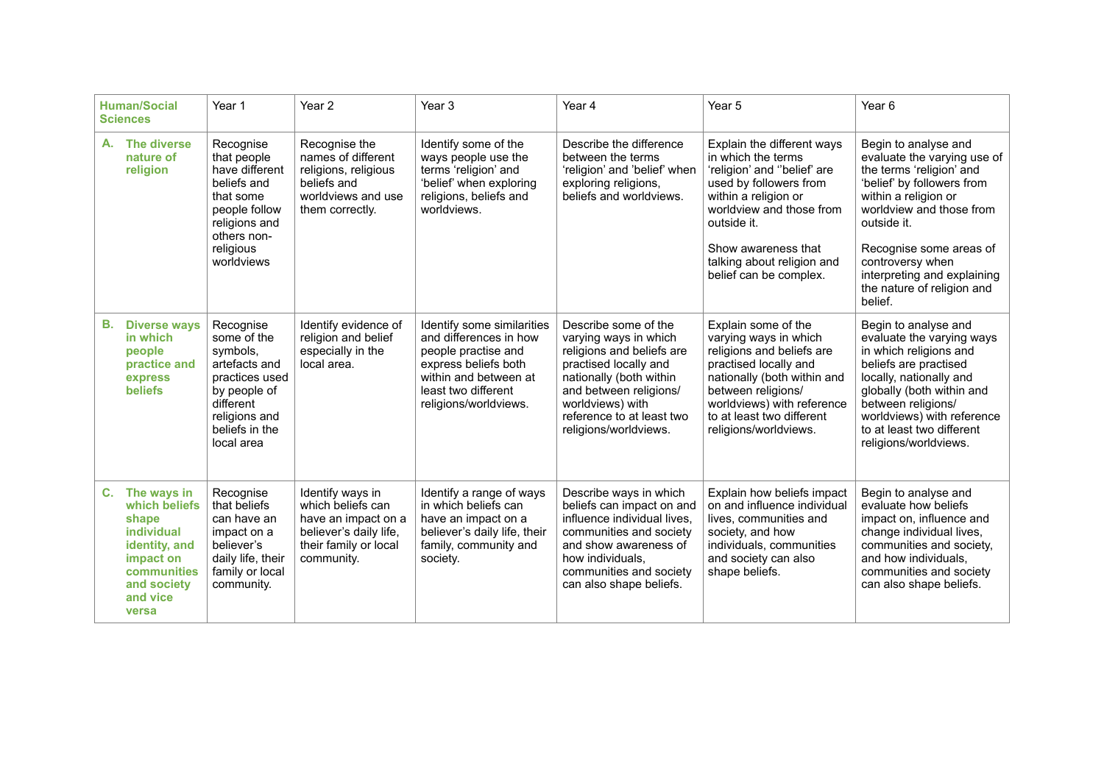|    | <b>Human/Social</b><br><b>Sciences</b>                                                                                                      | Year 1                                                                                                                                                | Year <sub>2</sub>                                                                                                             | Year <sub>3</sub>                                                                                                                                                            | Year 4                                                                                                                                                                                                                             | Year 5                                                                                                                                                                                                                                                      | Year <sub>6</sub>                                                                                                                                                                                                                                                                                       |
|----|---------------------------------------------------------------------------------------------------------------------------------------------|-------------------------------------------------------------------------------------------------------------------------------------------------------|-------------------------------------------------------------------------------------------------------------------------------|------------------------------------------------------------------------------------------------------------------------------------------------------------------------------|------------------------------------------------------------------------------------------------------------------------------------------------------------------------------------------------------------------------------------|-------------------------------------------------------------------------------------------------------------------------------------------------------------------------------------------------------------------------------------------------------------|---------------------------------------------------------------------------------------------------------------------------------------------------------------------------------------------------------------------------------------------------------------------------------------------------------|
| А. | The diverse<br>nature of<br>religion                                                                                                        | Recognise<br>that people<br>have different<br>beliefs and<br>that some<br>people follow<br>religions and<br>others non-<br>religious<br>worldviews    | Recognise the<br>names of different<br>religions, religious<br>beliefs and<br>worldviews and use<br>them correctly.           | Identify some of the<br>ways people use the<br>terms 'religion' and<br>'belief' when exploring<br>religions, beliefs and<br>worldviews.                                      | Describe the difference<br>between the terms<br>'religion' and 'belief' when<br>exploring religions,<br>beliefs and worldviews.                                                                                                    | Explain the different ways<br>in which the terms<br>'religion' and "belief' are<br>used by followers from<br>within a religion or<br>worldview and those from<br>outside it.<br>Show awareness that<br>talking about religion and<br>belief can be complex. | Begin to analyse and<br>evaluate the varying use of<br>the terms 'religion' and<br>'belief' by followers from<br>within a religion or<br>worldview and those from<br>outside it.<br>Recognise some areas of<br>controversy when<br>interpreting and explaining<br>the nature of religion and<br>belief. |
| В. | <b>Diverse ways</b><br>in which<br>people<br>practice and<br>express<br><b>beliefs</b>                                                      | Recognise<br>some of the<br>symbols,<br>artefacts and<br>practices used<br>by people of<br>different<br>religions and<br>beliefs in the<br>local area | Identify evidence of<br>religion and belief<br>especially in the<br>local area.                                               | Identify some similarities<br>and differences in how<br>people practise and<br>express beliefs both<br>within and between at<br>least two different<br>religions/worldviews. | Describe some of the<br>varying ways in which<br>religions and beliefs are<br>practised locally and<br>nationally (both within<br>and between religions/<br>worldviews) with<br>reference to at least two<br>religions/worldviews. | Explain some of the<br>varying ways in which<br>religions and beliefs are<br>practised locally and<br>nationally (both within and<br>between religions/<br>worldviews) with reference<br>to at least two different<br>religions/worldviews.                 | Begin to analyse and<br>evaluate the varying ways<br>in which religions and<br>beliefs are practised<br>locally, nationally and<br>globally (both within and<br>between religions/<br>worldviews) with reference<br>to at least two different<br>religions/worldviews.                                  |
| C. | The ways in<br>which beliefs<br>shape<br><b>individual</b><br>identity, and<br>impact on<br>communities<br>and society<br>and vice<br>versa | Recognise<br>that beliefs<br>can have an<br>impact on a<br>believer's<br>daily life, their<br>family or local<br>community.                           | Identify ways in<br>which beliefs can<br>have an impact on a<br>believer's daily life,<br>their family or local<br>community. | Identify a range of ways<br>in which beliefs can<br>have an impact on a<br>believer's daily life, their<br>family, community and<br>society.                                 | Describe ways in which<br>beliefs can impact on and<br>influence individual lives,<br>communities and society<br>and show awareness of<br>how individuals.<br>communities and society<br>can also shape beliefs.                   | Explain how beliefs impact<br>on and influence individual<br>lives, communities and<br>society, and how<br>individuals, communities<br>and society can also<br>shape beliefs.                                                                               | Begin to analyse and<br>evaluate how beliefs<br>impact on, influence and<br>change individual lives,<br>communities and society.<br>and how individuals.<br>communities and society<br>can also shape beliefs.                                                                                          |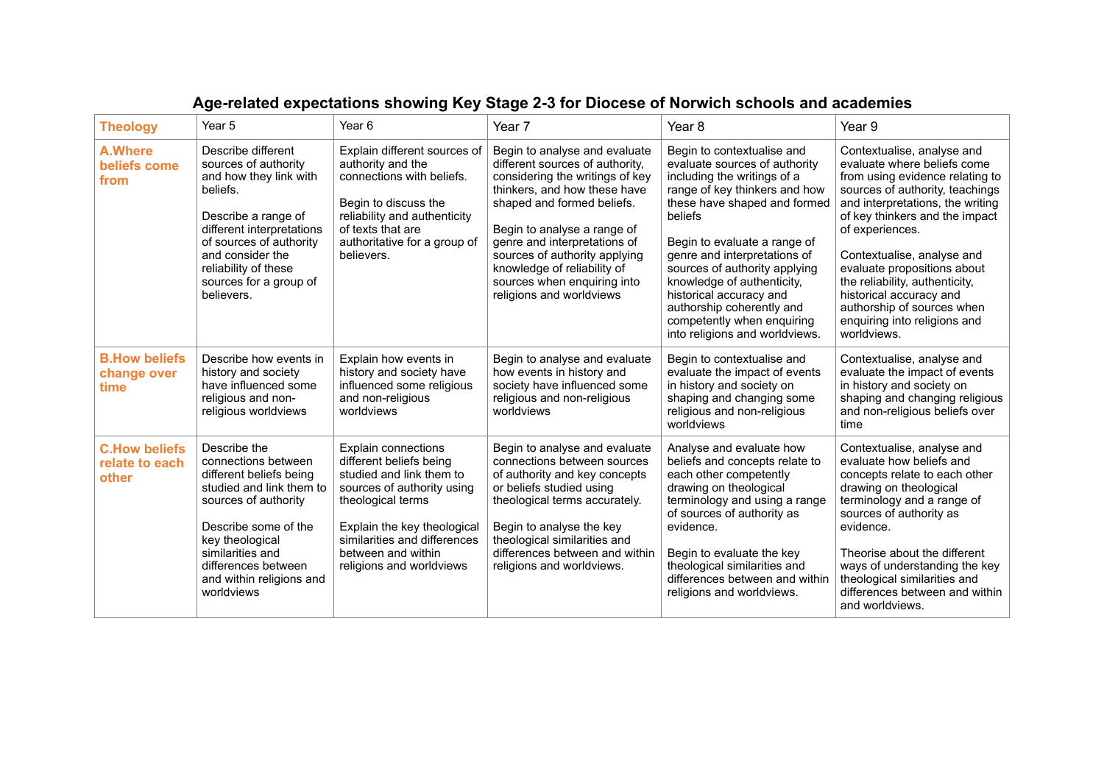| <b>Theology</b>                                 | Year 5                                                                                                                                                                                                                                              | Year 6                                                                                                                                                                                                                                         | Year 7                                                                                                                                                                                                                                                                                                                                                      | Year 8                                                                                                                                                                                                                                                                                                                                                                                                                        | Year 9                                                                                                                                                                                                                                                                                                                                                                                                                          |
|-------------------------------------------------|-----------------------------------------------------------------------------------------------------------------------------------------------------------------------------------------------------------------------------------------------------|------------------------------------------------------------------------------------------------------------------------------------------------------------------------------------------------------------------------------------------------|-------------------------------------------------------------------------------------------------------------------------------------------------------------------------------------------------------------------------------------------------------------------------------------------------------------------------------------------------------------|-------------------------------------------------------------------------------------------------------------------------------------------------------------------------------------------------------------------------------------------------------------------------------------------------------------------------------------------------------------------------------------------------------------------------------|---------------------------------------------------------------------------------------------------------------------------------------------------------------------------------------------------------------------------------------------------------------------------------------------------------------------------------------------------------------------------------------------------------------------------------|
| <b>A.Where</b><br>beliefs come<br>from          | Describe different<br>sources of authority<br>and how they link with<br>beliefs.<br>Describe a range of<br>different interpretations<br>of sources of authority<br>and consider the<br>reliability of these<br>sources for a group of<br>believers. | Explain different sources of<br>authority and the<br>connections with beliefs.<br>Begin to discuss the<br>reliability and authenticity<br>of texts that are<br>authoritative for a group of<br>believers.                                      | Begin to analyse and evaluate<br>different sources of authority,<br>considering the writings of key<br>thinkers, and how these have<br>shaped and formed beliefs.<br>Begin to analyse a range of<br>genre and interpretations of<br>sources of authority applying<br>knowledge of reliability of<br>sources when enquiring into<br>religions and worldviews | Begin to contextualise and<br>evaluate sources of authority<br>including the writings of a<br>range of key thinkers and how<br>these have shaped and formed<br>beliefs<br>Begin to evaluate a range of<br>genre and interpretations of<br>sources of authority applying<br>knowledge of authenticity,<br>historical accuracy and<br>authorship coherently and<br>competently when enquiring<br>into religions and worldviews. | Contextualise, analyse and<br>evaluate where beliefs come<br>from using evidence relating to<br>sources of authority, teachings<br>and interpretations, the writing<br>of key thinkers and the impact<br>of experiences.<br>Contextualise, analyse and<br>evaluate propositions about<br>the reliability, authenticity,<br>historical accuracy and<br>authorship of sources when<br>enquiring into religions and<br>worldviews. |
| <b>B.How beliefs</b><br>change over<br>time     | Describe how events in<br>history and society<br>have influenced some<br>religious and non-<br>religious worldviews                                                                                                                                 | Explain how events in<br>history and society have<br>influenced some religious<br>and non-religious<br>worldviews                                                                                                                              | Begin to analyse and evaluate<br>how events in history and<br>society have influenced some<br>religious and non-religious<br>worldviews                                                                                                                                                                                                                     | Begin to contextualise and<br>evaluate the impact of events<br>in history and society on<br>shaping and changing some<br>religious and non-religious<br>worldviews                                                                                                                                                                                                                                                            | Contextualise, analyse and<br>evaluate the impact of events<br>in history and society on<br>shaping and changing religious<br>and non-religious beliefs over<br>time                                                                                                                                                                                                                                                            |
| <b>C.How beliefs</b><br>relate to each<br>other | Describe the<br>connections between<br>different beliefs being<br>studied and link them to<br>sources of authority<br>Describe some of the<br>key theological<br>similarities and<br>differences between<br>and within religions and<br>worldviews  | Explain connections<br>different beliefs being<br>studied and link them to<br>sources of authority using<br>theological terms<br>Explain the key theological<br>similarities and differences<br>between and within<br>religions and worldviews | Begin to analyse and evaluate<br>connections between sources<br>of authority and key concepts<br>or beliefs studied using<br>theological terms accurately.<br>Begin to analyse the key<br>theological similarities and<br>differences between and within<br>religions and worldviews.                                                                       | Analyse and evaluate how<br>beliefs and concepts relate to<br>each other competently<br>drawing on theological<br>terminology and using a range<br>of sources of authority as<br>evidence.<br>Begin to evaluate the key<br>theological similarities and<br>differences between and within<br>religions and worldviews.                                                                                                        | Contextualise, analyse and<br>evaluate how beliefs and<br>concepts relate to each other<br>drawing on theological<br>terminology and a range of<br>sources of authority as<br>evidence.<br>Theorise about the different<br>ways of understanding the key<br>theological similarities and<br>differences between and within<br>and worldviews.                                                                                   |

## **Age-related expectations showing Key Stage 2-3 for Diocese of Norwich schools and academies**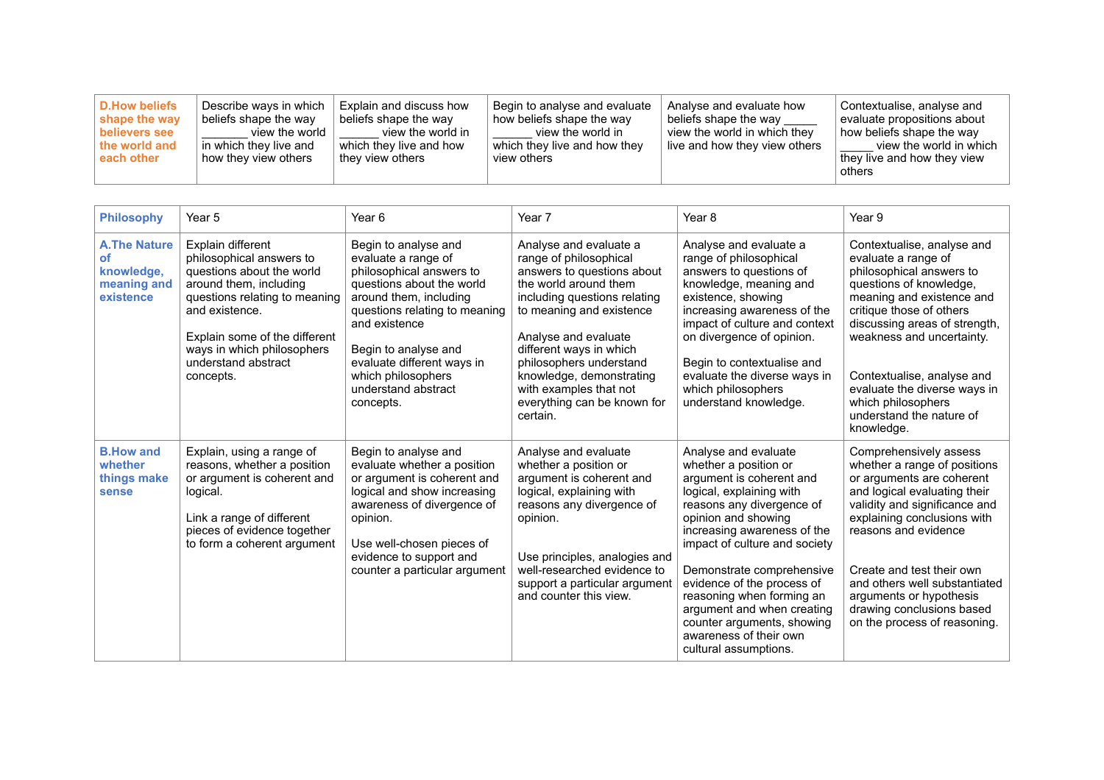| D.How beliefs<br>shape the way<br>believers see<br>the world and<br>each other | Describe ways in which<br>beliefs shape the way<br>view the world<br>in which they live and<br>how they view others | Explain and discuss how<br>beliefs shape the way<br>view the world in<br>which they live and how<br>∣ thev view others | Begin to analyse and evaluate<br>how beliefs shape the way<br>view the world in<br>which they live and how they<br>view others | Analyse and evaluate how<br>beliefs shape the way<br>view the world in which they<br>I live and how they view others | Contextualise, analyse and<br>evaluate propositions about<br>how beliefs shape the way<br>view the world in which<br>they live and how they view<br>others |
|--------------------------------------------------------------------------------|---------------------------------------------------------------------------------------------------------------------|------------------------------------------------------------------------------------------------------------------------|--------------------------------------------------------------------------------------------------------------------------------|----------------------------------------------------------------------------------------------------------------------|------------------------------------------------------------------------------------------------------------------------------------------------------------|
|--------------------------------------------------------------------------------|---------------------------------------------------------------------------------------------------------------------|------------------------------------------------------------------------------------------------------------------------|--------------------------------------------------------------------------------------------------------------------------------|----------------------------------------------------------------------------------------------------------------------|------------------------------------------------------------------------------------------------------------------------------------------------------------|

| <b>Philosophy</b>                                                   | Year 5                                                                                                                                                                                                                                                     | Year <sub>6</sub>                                                                                                                                                                                                                                                                                | Year 7                                                                                                                                                                                                                                                                                                                                             | Year <sub>8</sub>                                                                                                                                                                                                                                                                                                                                                                                                                | Year 9                                                                                                                                                                                                                                                                                                                                                            |
|---------------------------------------------------------------------|------------------------------------------------------------------------------------------------------------------------------------------------------------------------------------------------------------------------------------------------------------|--------------------------------------------------------------------------------------------------------------------------------------------------------------------------------------------------------------------------------------------------------------------------------------------------|----------------------------------------------------------------------------------------------------------------------------------------------------------------------------------------------------------------------------------------------------------------------------------------------------------------------------------------------------|----------------------------------------------------------------------------------------------------------------------------------------------------------------------------------------------------------------------------------------------------------------------------------------------------------------------------------------------------------------------------------------------------------------------------------|-------------------------------------------------------------------------------------------------------------------------------------------------------------------------------------------------------------------------------------------------------------------------------------------------------------------------------------------------------------------|
| <b>A.The Nature</b><br>οf<br>knowledge,<br>meaning and<br>existence | Explain different<br>philosophical answers to<br>questions about the world<br>around them, including<br>questions relating to meaning<br>and existence.<br>Explain some of the different<br>ways in which philosophers<br>understand abstract<br>concepts. | Begin to analyse and<br>evaluate a range of<br>philosophical answers to<br>questions about the world<br>around them, including<br>questions relating to meaning<br>and existence<br>Begin to analyse and<br>evaluate different ways in<br>which philosophers<br>understand abstract<br>concepts. | Analyse and evaluate a<br>range of philosophical<br>answers to questions about<br>the world around them<br>including questions relating<br>to meaning and existence<br>Analyse and evaluate<br>different ways in which<br>philosophers understand<br>knowledge, demonstrating<br>with examples that not<br>everything can be known for<br>certain. | Analyse and evaluate a<br>range of philosophical<br>answers to questions of<br>knowledge, meaning and<br>existence, showing<br>increasing awareness of the<br>impact of culture and context<br>on divergence of opinion.<br>Begin to contextualise and<br>evaluate the diverse ways in<br>which philosophers<br>understand knowledge.                                                                                            | Contextualise, analyse and<br>evaluate a range of<br>philosophical answers to<br>questions of knowledge,<br>meaning and existence and<br>critique those of others<br>discussing areas of strength,<br>weakness and uncertainty.<br>Contextualise, analyse and<br>evaluate the diverse ways in<br>which philosophers<br>understand the nature of<br>knowledge.     |
| <b>B.How and</b><br>whether<br>things make<br>sense                 | Explain, using a range of<br>reasons, whether a position<br>or argument is coherent and<br>logical.<br>Link a range of different<br>pieces of evidence together<br>to form a coherent argument                                                             | Begin to analyse and<br>evaluate whether a position<br>or argument is coherent and<br>logical and show increasing<br>awareness of divergence of<br>opinion.<br>Use well-chosen pieces of<br>evidence to support and<br>counter a particular argument                                             | Analyse and evaluate<br>whether a position or<br>argument is coherent and<br>logical, explaining with<br>reasons any divergence of<br>opinion.<br>Use principles, analogies and<br>well-researched evidence to<br>support a particular argument<br>and counter this view.                                                                          | Analyse and evaluate<br>whether a position or<br>argument is coherent and<br>logical, explaining with<br>reasons any divergence of<br>opinion and showing<br>increasing awareness of the<br>impact of culture and society<br>Demonstrate comprehensive<br>evidence of the process of<br>reasoning when forming an<br>argument and when creating<br>counter arguments, showing<br>awareness of their own<br>cultural assumptions. | Comprehensively assess<br>whether a range of positions<br>or arguments are coherent<br>and logical evaluating their<br>validity and significance and<br>explaining conclusions with<br>reasons and evidence<br>Create and test their own<br>and others well substantiated<br>arguments or hypothesis<br>drawing conclusions based<br>on the process of reasoning. |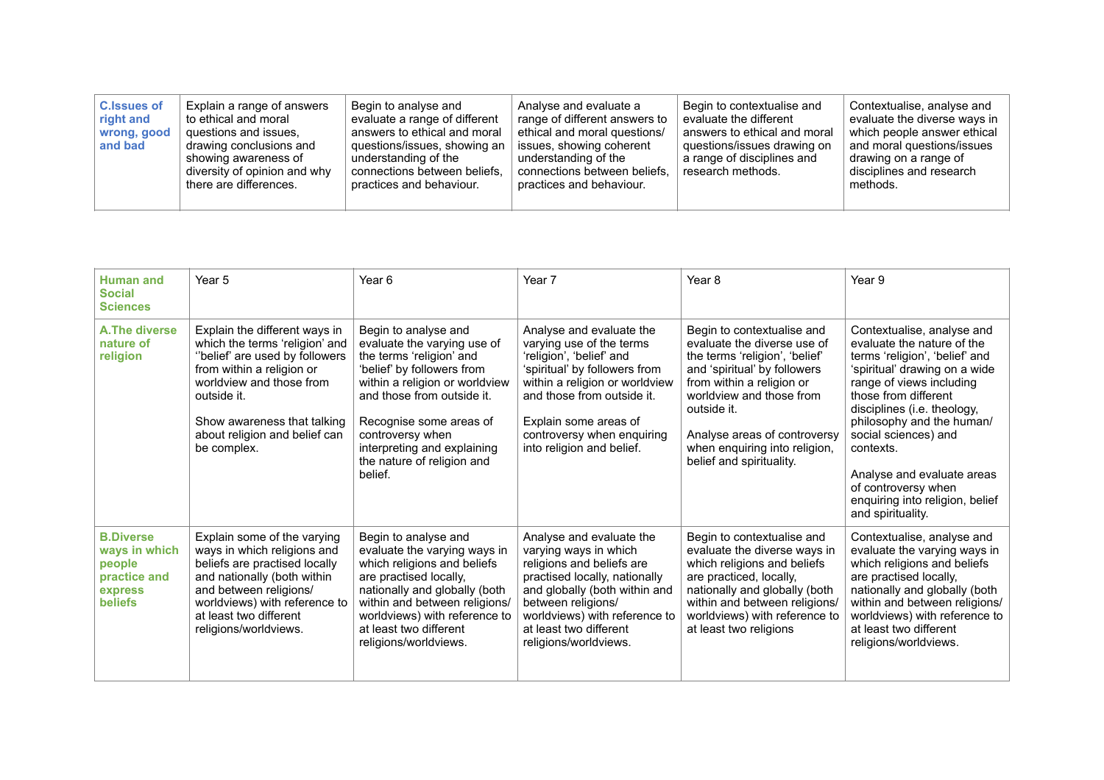| <b>C.Issues of</b><br>right and<br>wrong, good<br>and bad | Explain a range of answers<br>to ethical and moral<br>questions and issues,<br>drawing conclusions and<br>showing awareness of<br>diversity of opinion and why<br>there are differences. | Begin to analyse and<br>evaluate a range of different<br>answers to ethical and moral<br>questions/issues, showing an<br>understanding of the<br>connections between beliefs.<br>practices and behaviour. | Analyse and evaluate a<br>range of different answers to<br>ethical and moral questions/<br>issues, showing coherent<br>understanding of the<br>connections between beliefs.<br>practices and behaviour. | Begin to contextualise and<br>evaluate the different<br>answers to ethical and moral<br>questions/issues drawing on<br>a range of disciplines and<br>research methods. | Contextualise, analyse and<br>evaluate the diverse ways in<br>which people answer ethical<br>and moral questions/issues<br>drawing on a range of<br>disciplines and research<br>methods. |
|-----------------------------------------------------------|------------------------------------------------------------------------------------------------------------------------------------------------------------------------------------------|-----------------------------------------------------------------------------------------------------------------------------------------------------------------------------------------------------------|---------------------------------------------------------------------------------------------------------------------------------------------------------------------------------------------------------|------------------------------------------------------------------------------------------------------------------------------------------------------------------------|------------------------------------------------------------------------------------------------------------------------------------------------------------------------------------------|
|-----------------------------------------------------------|------------------------------------------------------------------------------------------------------------------------------------------------------------------------------------------|-----------------------------------------------------------------------------------------------------------------------------------------------------------------------------------------------------------|---------------------------------------------------------------------------------------------------------------------------------------------------------------------------------------------------------|------------------------------------------------------------------------------------------------------------------------------------------------------------------------|------------------------------------------------------------------------------------------------------------------------------------------------------------------------------------------|

| <b>Human and</b><br><b>Social</b><br><b>Sciences</b>                                     | Year 5                                                                                                                                                                                                                                                   | Year <sub>6</sub>                                                                                                                                                                                                                                                                                    | Year 7                                                                                                                                                                                                                                                                | Year <sub>8</sub>                                                                                                                                                                                                                                                                                | Year 9                                                                                                                                                                                                                                                                                                                                                                                        |
|------------------------------------------------------------------------------------------|----------------------------------------------------------------------------------------------------------------------------------------------------------------------------------------------------------------------------------------------------------|------------------------------------------------------------------------------------------------------------------------------------------------------------------------------------------------------------------------------------------------------------------------------------------------------|-----------------------------------------------------------------------------------------------------------------------------------------------------------------------------------------------------------------------------------------------------------------------|--------------------------------------------------------------------------------------------------------------------------------------------------------------------------------------------------------------------------------------------------------------------------------------------------|-----------------------------------------------------------------------------------------------------------------------------------------------------------------------------------------------------------------------------------------------------------------------------------------------------------------------------------------------------------------------------------------------|
| A. The diverse<br>nature of<br>religion                                                  | Explain the different ways in<br>which the terms 'religion' and<br>"belief' are used by followers<br>from within a religion or<br>worldview and those from<br>outside it.<br>Show awareness that talking<br>about religion and belief can<br>be complex. | Begin to analyse and<br>evaluate the varying use of<br>the terms 'religion' and<br>'belief' by followers from<br>within a religion or worldview<br>and those from outside it.<br>Recognise some areas of<br>controversy when<br>interpreting and explaining<br>the nature of religion and<br>belief. | Analyse and evaluate the<br>varying use of the terms<br>'religion', 'belief' and<br>'spiritual' by followers from<br>within a religion or worldview<br>and those from outside it.<br>Explain some areas of<br>controversy when enquiring<br>into religion and belief. | Begin to contextualise and<br>evaluate the diverse use of<br>the terms 'religion', 'belief'<br>and 'spiritual' by followers<br>from within a religion or<br>worldview and those from<br>outside it.<br>Analyse areas of controversy<br>when enquiring into religion,<br>belief and spirituality. | Contextualise, analyse and<br>evaluate the nature of the<br>terms 'religion', 'belief' and<br>'spiritual' drawing on a wide<br>range of views including<br>those from different<br>disciplines (i.e. theology,<br>philosophy and the human/<br>social sciences) and<br>contexts.<br>Analyse and evaluate areas<br>of controversy when<br>enquiring into religion, belief<br>and spirituality. |
| <b>B.Diverse</b><br>ways in which<br>people<br>practice and<br>express<br><b>beliefs</b> | Explain some of the varying<br>ways in which religions and<br>beliefs are practised locally<br>and nationally (both within<br>and between religions/<br>worldviews) with reference to<br>at least two different<br>religions/worldviews.                 | Begin to analyse and<br>evaluate the varying ways in<br>which religions and beliefs<br>are practised locally,<br>nationally and globally (both<br>within and between religions/<br>worldviews) with reference to<br>at least two different<br>religions/worldviews.                                  | Analyse and evaluate the<br>varying ways in which<br>religions and beliefs are<br>practised locally, nationally<br>and globally (both within and<br>between religions/<br>worldviews) with reference to<br>at least two different<br>religions/worldviews.            | Begin to contextualise and<br>evaluate the diverse ways in<br>which religions and beliefs<br>are practiced, locally,<br>nationally and globally (both<br>within and between religions/<br>worldviews) with reference to<br>at least two religions                                                | Contextualise, analyse and<br>evaluate the varying ways in<br>which religions and beliefs<br>are practised locally,<br>nationally and globally (both<br>within and between religions/<br>worldviews) with reference to<br>at least two different<br>religions/worldviews.                                                                                                                     |